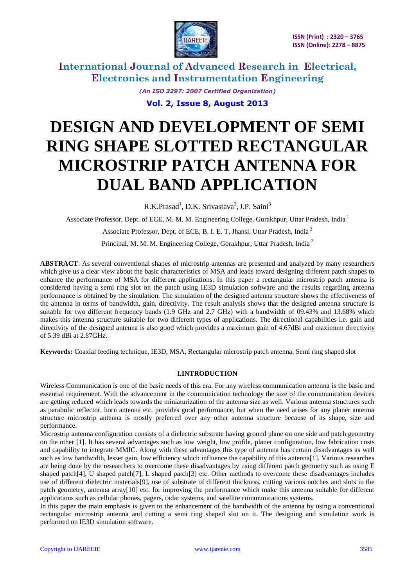

> *(An ISO 3297: 2007 Certified Organization)* **Vol. 2, Issue 8, August 2013**

# **DESIGN AND DEVELOPMENT OF SEMI RING SHAPE SLOTTED RECTANGULAR MICROSTRIP PATCH ANTENNA FOR DUAL BAND APPLICATION**

R.K.Prasad<sup>1</sup>, D.K. Srivastava<sup>2</sup>, J.P. Saini<sup>3</sup>

Associate Professor, Dept. of ECE, M. M. M. Engineering College, Gorakhpur, Uttar Pradesh, India <sup>1</sup>

Associate Professor, Dept. of ECE, B. I. E. T, Jhansi, Uttar Pradesh, India <sup>2</sup>

Principal, M. M. M. Engineering College, Gorakhpur, Uttar Pradesh, India <sup>3</sup>

**ABSTRACT**: As several conventional shapes of microstrip antennas are presented and analyzed by many researchers which give us a clear view about the basic characteristics of MSA and leads toward designing different patch shapes to enhance the performance of MSA for different applications. In this paper a rectangular microstrip patch antenna is considered having a semi ring slot on the patch using IE3D simulation software and the results regarding antenna performance is obtained by the simulation. The simulation of the designed antenna structure shows the effectiveness of the antenna in terms of bandwidth, gain, directivity. The result analysis shows that the designed antenna structure is suitable for two different frequency bands (1.9 GHz and 2.7 GHz) with a bandwidth of 09.43% and 13.68% which makes this antenna structure suitable for two different types of applications. The directional capabilities i.e. gain and directivity of the designed antenna is also good which provides a maximum gain of 4.67dBi and maximum directivity of 5.39 dBi at 2.87GHz.

**Keywords:** Coaxial feeding technique, IE3D, MSA, Rectangular microstrip patch antenna, Semi ring shaped slot

#### **I.INTRODUCTION**

Wireless Communication is one of the basic needs of this era. For any wireless communication antenna is the basic and essential requirement. With the advancement in the communication technology the size of the communication devices are getting reduced which leads towards the miniaturization of the antenna size as well. Various antenna structures such as parabolic reflector, horn antenna etc. provides good performance, but when the need arises for any planer antenna structure microstrip antenna is mostly preferred over any other antenna structure because of its shape, size and performance.

Microstrip antenna configuration consists of a dielectric substrate having ground plane on one side and patch geometry on the other [1]. It has several advantages such as low weight, low profile, planer configuration, low fabrication costs and capability to integrate MMIC. Along with these advantages this type of antenna has certain disadvantages as well such as low bandwidth, lesser gain, low efficiency which influence the capability of this antenna[1]. Various researches are being done by the researchers to overcome these disadvantages by using different patch geometry such as using E shaped patch[4], U shaped patch[7], L shaped patch[3] etc. Other methods to overcome these disadvantages includes use of different dielectric materials[9], use of substrate of different thickness, cutting various notches and slots in the patch geometry, antenna array[10] etc. for improving the performance which make this antenna suitable for different applications such as cellular phones, pagers, radar systems, and satellite communications systems.

In this paper the main emphasis is given to the enhancement of the bandwidth of the antenna by using a conventional rectangular microstrip antenna and cutting a semi ring shaped slot on it. The designing and simulation work is performed on IE3D simulation software.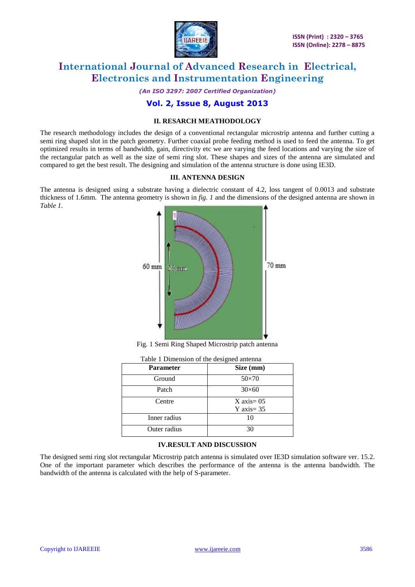

*(An ISO 3297: 2007 Certified Organization)*

## **Vol. 2, Issue 8, August 2013**

### **II. RESARCH MEATHODOLOGY**

The research methodology includes the design of a conventional rectangular microstrip antenna and further cutting a semi ring shaped slot in the patch geometry. Further coaxial probe feeding method is used to feed the antenna. To get optimized results in terms of bandwidth, gain, directivity etc we are varying the feed locations and varying the size of the rectangular patch as well as the size of semi ring slot. These shapes and sizes of the antenna are simulated and compared to get the best result. The designing and simulation of the antenna structure is done using IE3D.

#### **III. ANTENNA DESIGN**

The antenna is designed using a substrate having a dielectric constant of 4.2, loss tangent of 0.0013 and substrate thickness of 1.6mm. The antenna geometry is shown in *fig. 1* and the dimensions of the designed antenna are shown in *Table 1.*



Fig. 1 Semi Ring Shaped Microstrip patch antenna

| <b>Parameter</b> | Size (mm)                                       |
|------------------|-------------------------------------------------|
| Ground           | $50\times70$                                    |
| Patch            | $30\times 60$                                   |
| Centre           | $X \text{ axis} = 0.5$<br>$Y \text{ axis} = 35$ |
| Inner radius     | 10                                              |
| Outer radius     | 30                                              |

#### **IV.RESULT AND DISCUSSION**

The designed semi ring slot rectangular Microstrip patch antenna is simulated over IE3D simulation software ver. 15.2. One of the important parameter which describes the performance of the antenna is the antenna bandwidth. The bandwidth of the antenna is calculated with the help of S-parameter.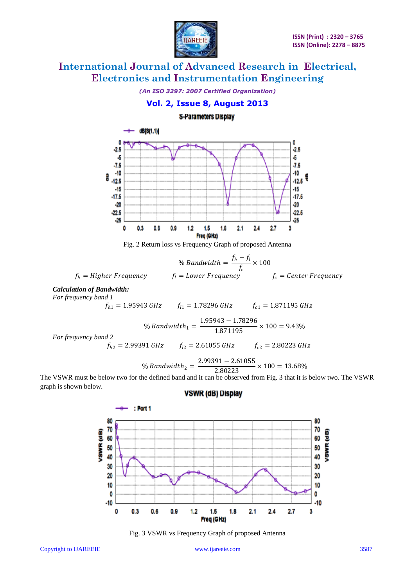

*(An ISO 3297: 2007 Certified Organization)*

## **Vol. 2, Issue 8, August 2013**

## **S-Parameters Display**



Fig. 2 Return loss vs Frequency Graph of proposed Antenna

$$
\% Bandwidth = \frac{f_h - f_l}{f_c} \times 100
$$
  
 $f_h = Higher Frequency$   $f_l = Lower Frequency$   $f_c = Center Frequency$ 

*Calculation of Bandwidth:*

*For frequency band 1*

$$
f_{h1} = 1.95943 \text{ GHz} \qquad f_{l1} = 1.78296 \text{ GHz} \qquad f_{c1} = 1.871195 \text{ GHz}
$$

% Bandwidth<sub>1</sub> = 
$$
\frac{1.95943 - 1.78296}{1.871195} \times 100 = 9.43\%
$$

*For frequency band 2*

$$
f_{h2} = 2.99391 \text{ GHz}
$$
  $f_{l2} = 2.61055 \text{ GHz}$   $f_{c2} = 2.80223 \text{ GHz}$ 

$$
\% Bandwidth_{2} = \frac{2.99391 - 2.61055}{2.80223} \times 100 = 13.68\%
$$

The VSWR must be below two for the defined band and it can be observed from Fig. 3 that it is below two. The VSWR graph is shown below. **VSWR (dB) Display** 



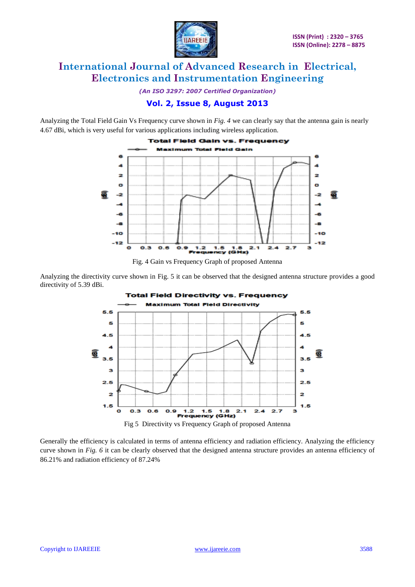

*(An ISO 3297: 2007 Certified Organization)*

## **Vol. 2, Issue 8, August 2013**

Analyzing the Total Field Gain Vs Frequency curve shown in *Fig. 4* we can clearly say that the antenna gain is nearly 4.67 dBi, which is very useful for various applications including wireless application.





Analyzing the directivity curve shown in Fig. 5 it can be observed that the designed antenna structure provides a good directivity of 5.39 dBi.



Generally the efficiency is calculated in terms of antenna efficiency and radiation efficiency. Analyzing the efficiency curve shown in *Fig. 6* it can be clearly observed that the designed antenna structure provides an antenna efficiency of 86.21% and radiation efficiency of 87.24%